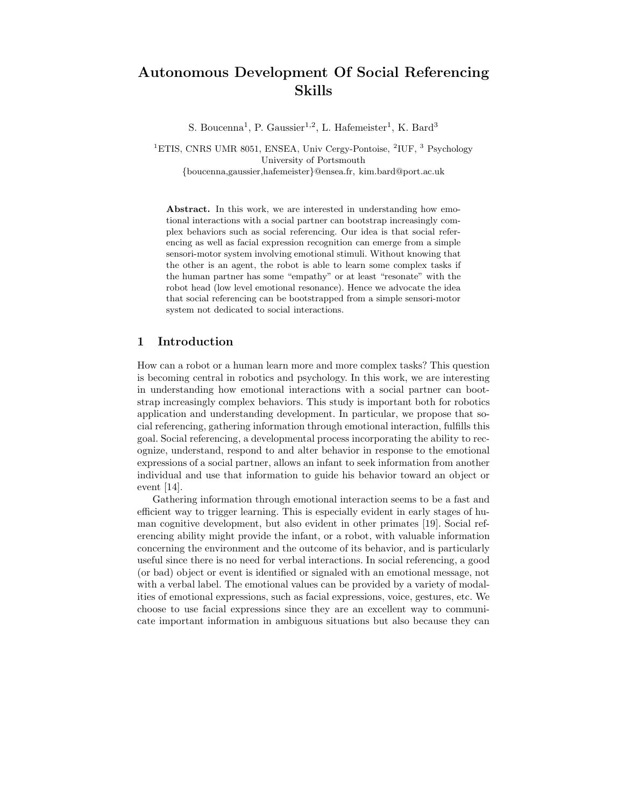# Autonomous Development Of Social Referencing Skills

S. Boucenna<sup>1</sup>, P. Gaussier<sup>1,2</sup>, L. Hafemeister<sup>1</sup>, K. Bard<sup>3</sup>

<sup>1</sup>ETIS, CNRS UMR 8051, ENSEA, Univ Cergy-Pontoise, <sup>2</sup>IUF, <sup>3</sup> Psychology University of Portsmouth {boucenna,gaussier,hafemeister}@ensea.fr, kim.bard@port.ac.uk

Abstract. In this work, we are interested in understanding how emotional interactions with a social partner can bootstrap increasingly complex behaviors such as social referencing. Our idea is that social referencing as well as facial expression recognition can emerge from a simple sensori-motor system involving emotional stimuli. Without knowing that the other is an agent, the robot is able to learn some complex tasks if the human partner has some "empathy" or at least "resonate" with the robot head (low level emotional resonance). Hence we advocate the idea that social referencing can be bootstrapped from a simple sensori-motor system not dedicated to social interactions.

## 1 Introduction

How can a robot or a human learn more and more complex tasks? This question is becoming central in robotics and psychology. In this work, we are interesting in understanding how emotional interactions with a social partner can bootstrap increasingly complex behaviors. This study is important both for robotics application and understanding development. In particular, we propose that social referencing, gathering information through emotional interaction, fulfills this goal. Social referencing, a developmental process incorporating the ability to recognize, understand, respond to and alter behavior in response to the emotional expressions of a social partner, allows an infant to seek information from another individual and use that information to guide his behavior toward an object or event [14].

Gathering information through emotional interaction seems to be a fast and efficient way to trigger learning. This is especially evident in early stages of human cognitive development, but also evident in other primates [19]. Social referencing ability might provide the infant, or a robot, with valuable information concerning the environment and the outcome of its behavior, and is particularly useful since there is no need for verbal interactions. In social referencing, a good (or bad) object or event is identified or signaled with an emotional message, not with a verbal label. The emotional values can be provided by a variety of modalities of emotional expressions, such as facial expressions, voice, gestures, etc. We choose to use facial expressions since they are an excellent way to communicate important information in ambiguous situations but also because they can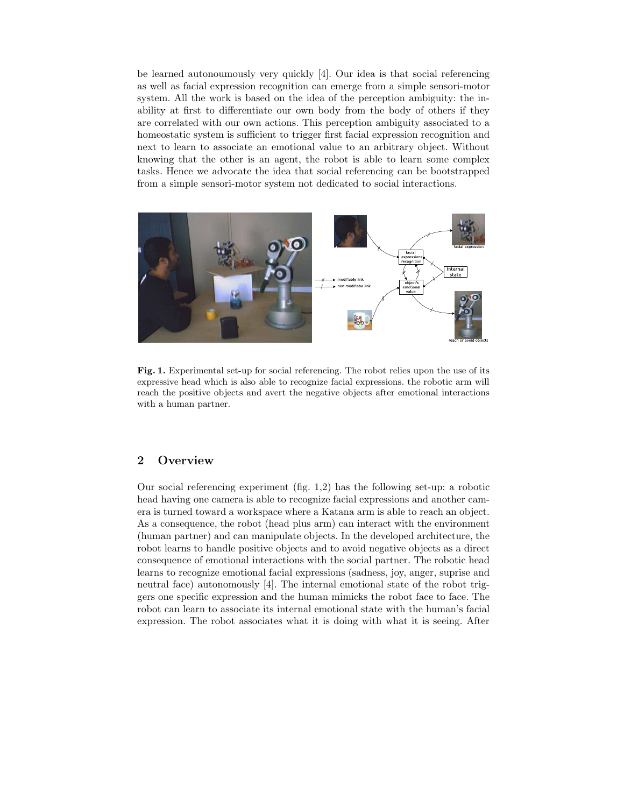be learned autonoumously very quickly [4]. Our idea is that social referencing as well as facial expression recognition can emerge from a simple sensori-motor system. All the work is based on the idea of the perception ambiguity: the inability at first to differentiate our own body from the body of others if they are correlated with our own actions. This perception ambiguity associated to a homeostatic system is sufficient to trigger first facial expression recognition and next to learn to associate an emotional value to an arbitrary object. Without knowing that the other is an agent, the robot is able to learn some complex tasks. Hence we advocate the idea that social referencing can be bootstrapped from a simple sensori-motor system not dedicated to social interactions.



Fig. 1. Experimental set-up for social referencing. The robot relies upon the use of its expressive head which is also able to recognize facial expressions. the robotic arm will reach the positive objects and avert the negative objects after emotional interactions with a human partner.

# 2 Overview

Our social referencing experiment (fig. 1,2) has the following set-up: a robotic head having one camera is able to recognize facial expressions and another camera is turned toward a workspace where a Katana arm is able to reach an object. As a consequence, the robot (head plus arm) can interact with the environment (human partner) and can manipulate objects. In the developed architecture, the robot learns to handle positive objects and to avoid negative objects as a direct consequence of emotional interactions with the social partner. The robotic head learns to recognize emotional facial expressions (sadness, joy, anger, suprise and neutral face) autonomously [4]. The internal emotional state of the robot triggers one specific expression and the human mimicks the robot face to face. The robot can learn to associate its internal emotional state with the human's facial expression. The robot associates what it is doing with what it is seeing. After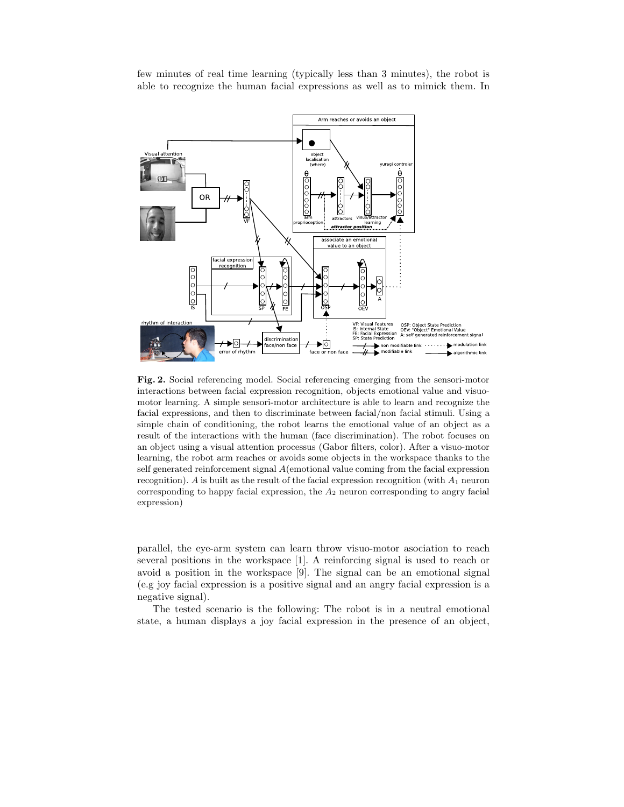few minutes of real time learning (typically less than 3 minutes), the robot is able to recognize the human facial expressions as well as to mimick them. In



Fig. 2. Social referencing model. Social referencing emerging from the sensori-motor interactions between facial expression recognition, objects emotional value and visuomotor learning. A simple sensori-motor architecture is able to learn and recognize the facial expressions, and then to discriminate between facial/non facial stimuli. Using a simple chain of conditioning, the robot learns the emotional value of an object as a result of the interactions with the human (face discrimination). The robot focuses on an object using a visual attention processus (Gabor filters, color). After a visuo-motor learning, the robot arm reaches or avoids some objects in the workspace thanks to the self generated reinforcement signal A(emotional value coming from the facial expression recognition). A is built as the result of the facial expression recognition (with  $A_1$  neuron corresponding to happy facial expression, the  $A_2$  neuron corresponding to angry facial expression)

parallel, the eye-arm system can learn throw visuo-motor asociation to reach several positions in the workspace [1]. A reinforcing signal is used to reach or avoid a position in the workspace [9]. The signal can be an emotional signal (e.g joy facial expression is a positive signal and an angry facial expression is a negative signal).

The tested scenario is the following: The robot is in a neutral emotional state, a human displays a joy facial expression in the presence of an object,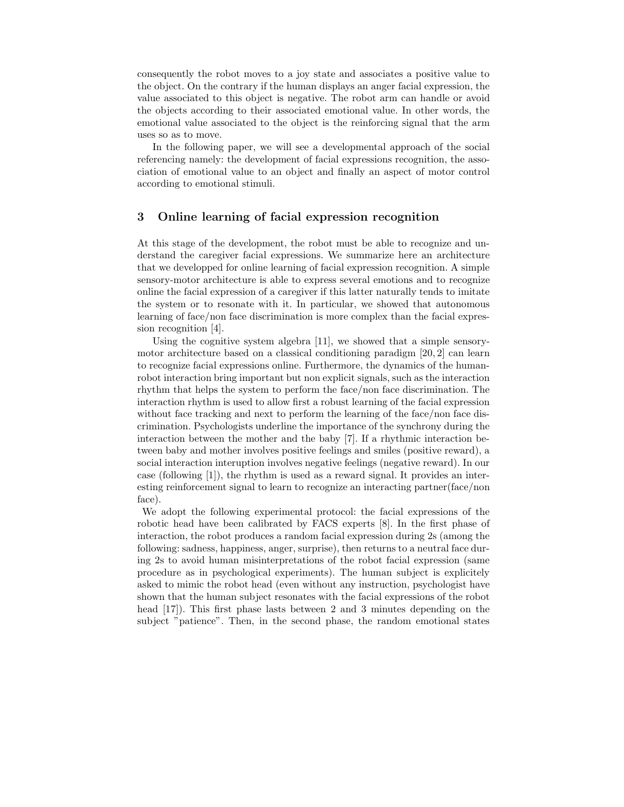consequently the robot moves to a joy state and associates a positive value to the object. On the contrary if the human displays an anger facial expression, the value associated to this object is negative. The robot arm can handle or avoid the objects according to their associated emotional value. In other words, the emotional value associated to the object is the reinforcing signal that the arm uses so as to move.

In the following paper, we will see a developmental approach of the social referencing namely: the development of facial expressions recognition, the association of emotional value to an object and finally an aspect of motor control according to emotional stimuli.

#### 3 Online learning of facial expression recognition

At this stage of the development, the robot must be able to recognize and understand the caregiver facial expressions. We summarize here an architecture that we developped for online learning of facial expression recognition. A simple sensory-motor architecture is able to express several emotions and to recognize online the facial expression of a caregiver if this latter naturally tends to imitate the system or to resonate with it. In particular, we showed that autonomous learning of face/non face discrimination is more complex than the facial expression recognition [4].

Using the cognitive system algebra [11], we showed that a simple sensorymotor architecture based on a classical conditioning paradigm [20, 2] can learn to recognize facial expressions online. Furthermore, the dynamics of the humanrobot interaction bring important but non explicit signals, such as the interaction rhythm that helps the system to perform the face/non face discrimination. The interaction rhythm is used to allow first a robust learning of the facial expression without face tracking and next to perform the learning of the face/non face discrimination. Psychologists underline the importance of the synchrony during the interaction between the mother and the baby [7]. If a rhythmic interaction between baby and mother involves positive feelings and smiles (positive reward), a social interaction interuption involves negative feelings (negative reward). In our case (following [1]), the rhythm is used as a reward signal. It provides an interesting reinforcement signal to learn to recognize an interacting partner(face/non face).

We adopt the following experimental protocol: the facial expressions of the robotic head have been calibrated by FACS experts [8]. In the first phase of interaction, the robot produces a random facial expression during 2s (among the following: sadness, happiness, anger, surprise), then returns to a neutral face during 2s to avoid human misinterpretations of the robot facial expression (same procedure as in psychological experiments). The human subject is explicitely asked to mimic the robot head (even without any instruction, psychologist have shown that the human subject resonates with the facial expressions of the robot head [17]). This first phase lasts between 2 and 3 minutes depending on the subject "patience". Then, in the second phase, the random emotional states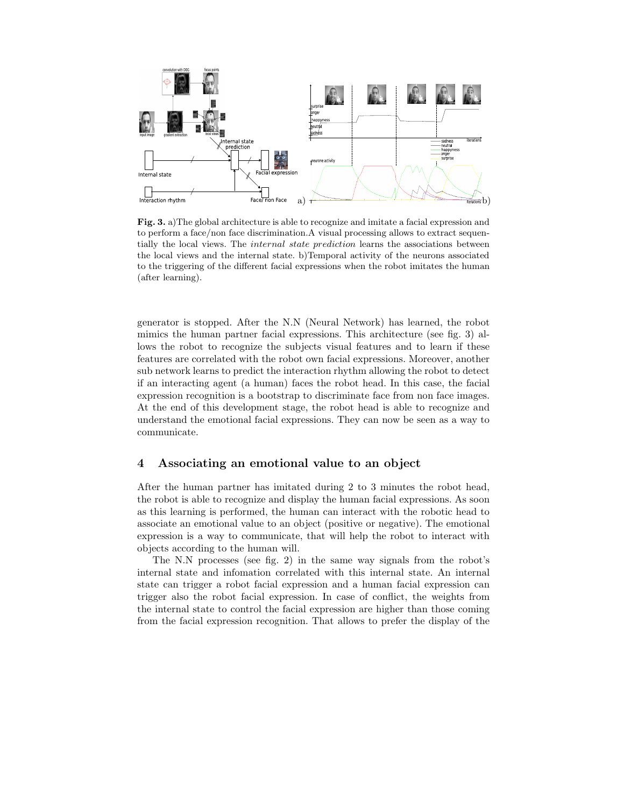

Fig. 3. a)The global architecture is able to recognize and imitate a facial expression and to perform a face/non face discrimination.A visual processing allows to extract sequentially the local views. The *internal state prediction* learns the associations between the local views and the internal state. b)Temporal activity of the neurons associated to the triggering of the different facial expressions when the robot imitates the human (after learning).

generator is stopped. After the N.N (Neural Network) has learned, the robot mimics the human partner facial expressions. This architecture (see fig. 3) allows the robot to recognize the subjects visual features and to learn if these features are correlated with the robot own facial expressions. Moreover, another sub network learns to predict the interaction rhythm allowing the robot to detect if an interacting agent (a human) faces the robot head. In this case, the facial expression recognition is a bootstrap to discriminate face from non face images. At the end of this development stage, the robot head is able to recognize and understand the emotional facial expressions. They can now be seen as a way to communicate.

#### 4 Associating an emotional value to an object

After the human partner has imitated during 2 to 3 minutes the robot head, the robot is able to recognize and display the human facial expressions. As soon as this learning is performed, the human can interact with the robotic head to associate an emotional value to an object (positive or negative). The emotional expression is a way to communicate, that will help the robot to interact with objects according to the human will.

The N.N processes (see fig. 2) in the same way signals from the robot's internal state and infomation correlated with this internal state. An internal state can trigger a robot facial expression and a human facial expression can trigger also the robot facial expression. In case of conflict, the weights from the internal state to control the facial expression are higher than those coming from the facial expression recognition. That allows to prefer the display of the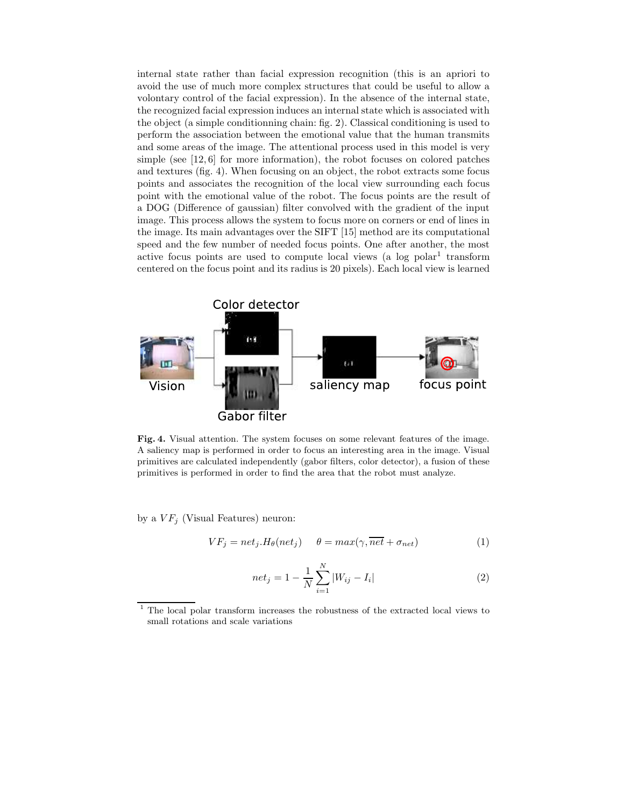internal state rather than facial expression recognition (this is an apriori to avoid the use of much more complex structures that could be useful to allow a volontary control of the facial expression). In the absence of the internal state, the recognized facial expression induces an internal state which is associated with the object (a simple conditionning chain: fig. 2). Classical conditioning is used to perform the association between the emotional value that the human transmits and some areas of the image. The attentional process used in this model is very simple (see  $[12, 6]$  for more information), the robot focuses on colored patches and textures (fig. 4). When focusing on an object, the robot extracts some focus points and associates the recognition of the local view surrounding each focus point with the emotional value of the robot. The focus points are the result of a DOG (Difference of gaussian) filter convolved with the gradient of the input image. This process allows the system to focus more on corners or end of lines in the image. Its main advantages over the SIFT [15] method are its computational speed and the few number of needed focus points. One after another, the most active focus points are used to compute local views (a log polar<sup>1</sup> transform centered on the focus point and its radius is 20 pixels). Each local view is learned



Fig. 4. Visual attention. The system focuses on some relevant features of the image. A saliency map is performed in order to focus an interesting area in the image. Visual primitives are calculated independently (gabor filters, color detector), a fusion of these primitives is performed in order to find the area that the robot must analyze.

by a  $VF_i$  (Visual Features) neuron:

$$
VF_j = net_j.H_\theta(net_j) \qquad \theta = max(\gamma, \overline{net} + \sigma_{net})
$$
 (1)

$$
net_j = 1 - \frac{1}{N} \sum_{i=1}^{N} |W_{ij} - I_i|
$$
\n(2)

<sup>1</sup> The local polar transform increases the robustness of the extracted local views to small rotations and scale variations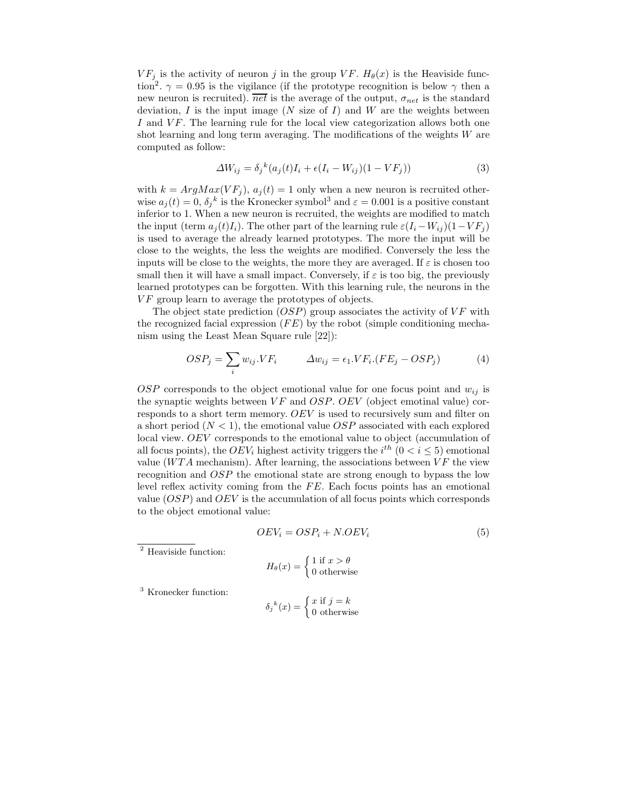$VF_j$  is the activity of neuron j in the group VF.  $H_{\theta}(x)$  is the Heaviside function<sup>2</sup>.  $\gamma = 0.95$  is the vigilance (if the prototype recognition is below  $\gamma$  then a new neuron is recruited).  $\overline{net}$  is the average of the output,  $\sigma_{net}$  is the standard deviation,  $I$  is the input image  $(N \text{ size of } I)$  and  $W$  are the weights between I and  $VF$ . The learning rule for the local view categorization allows both one shot learning and long term averaging. The modifications of the weights W are computed as follow:

$$
\Delta W_{ij} = \delta_j{}^k (a_j(t)I_i + \epsilon (I_i - W_{ij})(1 - VF_j))
$$
\n(3)

with  $k = ArgMax(VF_i)$ ,  $a_i(t) = 1$  only when a new neuron is recruited otherwise  $a_j(t) = 0$ ,  $\delta_j^k$  is the Kronecker symbol<sup>3</sup> and  $\varepsilon = 0.001$  is a positive constant inferior to 1. When a new neuron is recruited, the weights are modified to match the input (term  $a_i(t)I_i$ ). The other part of the learning rule  $\varepsilon(I_i - W_{ij})(1-V F_i)$ is used to average the already learned prototypes. The more the input will be close to the weights, the less the weights are modified. Conversely the less the inputs will be close to the weights, the more they are averaged. If  $\varepsilon$  is chosen too small then it will have a small impact. Conversely, if  $\varepsilon$  is too big, the previously learned prototypes can be forgotten. With this learning rule, the neurons in the  $VF$  group learn to average the prototypes of objects.

The object state prediction  $(OSP)$  group associates the activity of VF with the recognized facial expression  $(FE)$  by the robot (simple conditioning mechanism using the Least Mean Square rule [22]):

$$
OSP_j = \sum_i w_{ij} \cdot VF_i \qquad \Delta w_{ij} = \epsilon_1 \cdot VF_i \cdot (FE_j - OSP_j) \tag{4}
$$

OSP corresponds to the object emotional value for one focus point and  $w_{ij}$  is the synaptic weights between  $VF$  and  $OSP$ .  $OEV$  (object emotinal value) corresponds to a short term memory. OEV is used to recursively sum and filter on a short period  $(N < 1)$ , the emotional value *OSP* associated with each explored local view. OEV corresponds to the emotional value to object (accumulation of all focus points), the  $OEV_i$  highest activity triggers the  $i^{th}$   $(0 < i \leq 5)$  emotional value ( $WTA$  mechanism). After learning, the associations between  $VF$  the view recognition and OSP the emotional state are strong enough to bypass the low level reflex activity coming from the  $FE$ . Each focus points has an emotional value  $(OSP)$  and  $OEV$  is the accumulation of all focus points which corresponds to the object emotional value:

$$
OEV_i = OSP_i + N.OEV_i \tag{5}
$$

<sup>2</sup> Heaviside function:

$$
H_{\theta}(x) = \begin{cases} 1 \text{ if } x > \theta \\ 0 \text{ otherwise} \end{cases}
$$

<sup>3</sup> Kronecker function:

$$
\delta_j{}^k(x) = \begin{cases} x \text{ if } j = k \\ 0 \text{ otherwise} \end{cases}
$$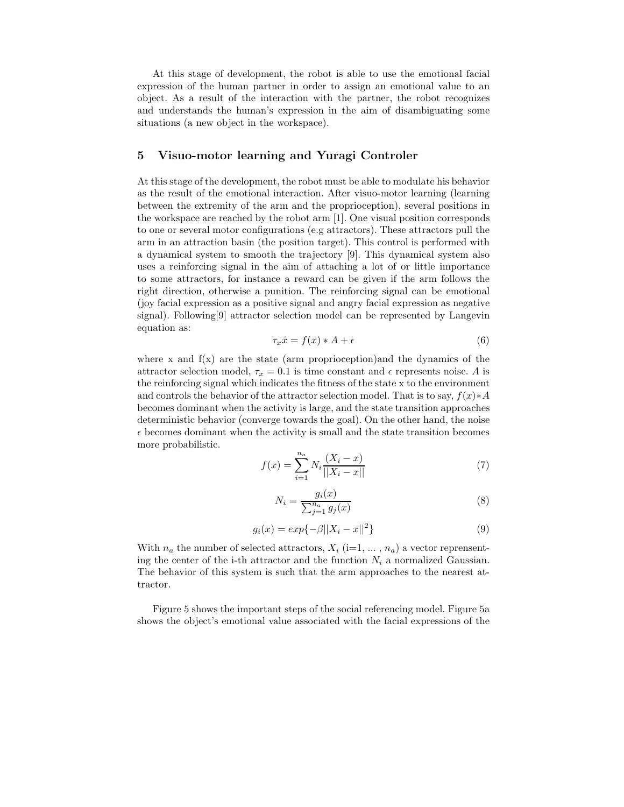At this stage of development, the robot is able to use the emotional facial expression of the human partner in order to assign an emotional value to an object. As a result of the interaction with the partner, the robot recognizes and understands the human's expression in the aim of disambiguating some situations (a new object in the workspace).

#### 5 Visuo-motor learning and Yuragi Controler

At this stage of the development, the robot must be able to modulate his behavior as the result of the emotional interaction. After visuo-motor learning (learning between the extremity of the arm and the proprioception), several positions in the workspace are reached by the robot arm [1]. One visual position corresponds to one or several motor configurations (e.g attractors). These attractors pull the arm in an attraction basin (the position target). This control is performed with a dynamical system to smooth the trajectory [9]. This dynamical system also uses a reinforcing signal in the aim of attaching a lot of or little importance to some attractors, for instance a reward can be given if the arm follows the right direction, otherwise a punition. The reinforcing signal can be emotional (joy facial expression as a positive signal and angry facial expression as negative signal). Following[9] attractor selection model can be represented by Langevin equation as:

$$
\tau_x \dot{x} = f(x) * A + \epsilon \tag{6}
$$

where x and  $f(x)$  are the state (arm proprioception)and the dynamics of the attractor selection model,  $\tau_x = 0.1$  is time constant and  $\epsilon$  represents noise. A is the reinforcing signal which indicates the fitness of the state x to the environment and controls the behavior of the attractor selection model. That is to say,  $f(x)*A$ becomes dominant when the activity is large, and the state transition approaches deterministic behavior (converge towards the goal). On the other hand, the noise  $\epsilon$  becomes dominant when the activity is small and the state transition becomes more probabilistic.

$$
f(x) = \sum_{i=1}^{n_a} N_i \frac{(X_i - x)}{||X_i - x||}
$$
 (7)

$$
N_i = \frac{g_i(x)}{\sum_{j=1}^{n_a} g_j(x)}\tag{8}
$$

$$
g_i(x) = exp{-\beta ||X_i - x||^2}
$$
\n(9)

With  $n_a$  the number of selected attractors,  $X_i$  (i=1, ...,  $n_a$ ) a vector reprensenting the center of the i-th attractor and the function  $N_i$  a normalized Gaussian. The behavior of this system is such that the arm approaches to the nearest attractor.

Figure 5 shows the important steps of the social referencing model. Figure 5a shows the object's emotional value associated with the facial expressions of the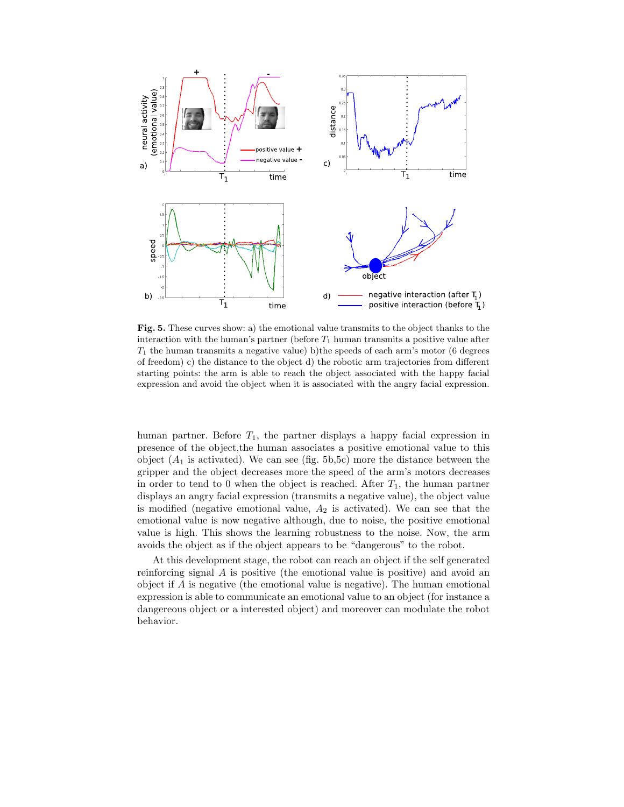

Fig. 5. These curves show: a) the emotional value transmits to the object thanks to the interaction with the human's partner (before  $T_1$  human transmits a positive value after  $T_1$  the human transmits a negative value) b) the speeds of each arm's motor (6 degrees of freedom) c) the distance to the object d) the robotic arm trajectories from different starting points: the arm is able to reach the object associated with the happy facial expression and avoid the object when it is associated with the angry facial expression.

human partner. Before  $T_1$ , the partner displays a happy facial expression in presence of the object,the human associates a positive emotional value to this object  $(A_1$  is activated). We can see (fig. 5b,5c) more the distance between the gripper and the object decreases more the speed of the arm's motors decreases in order to tend to 0 when the object is reached. After  $T_1$ , the human partner displays an angry facial expression (transmits a negative value), the object value is modified (negative emotional value,  $A_2$  is activated). We can see that the emotional value is now negative although, due to noise, the positive emotional value is high. This shows the learning robustness to the noise. Now, the arm avoids the object as if the object appears to be "dangerous" to the robot.

At this development stage, the robot can reach an object if the self generated reinforcing signal A is positive (the emotional value is positive) and avoid an object if  $\vec{A}$  is negative (the emotional value is negative). The human emotional expression is able to communicate an emotional value to an object (for instance a dangereous object or a interested object) and moreover can modulate the robot behavior.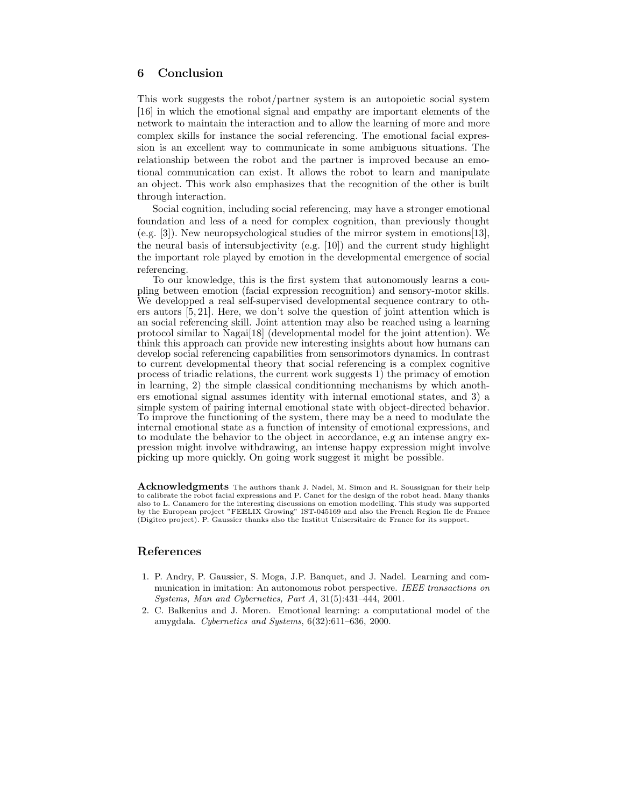# 6 Conclusion

This work suggests the robot/partner system is an autopoietic social system [16] in which the emotional signal and empathy are important elements of the network to maintain the interaction and to allow the learning of more and more complex skills for instance the social referencing. The emotional facial expression is an excellent way to communicate in some ambiguous situations. The relationship between the robot and the partner is improved because an emotional communication can exist. It allows the robot to learn and manipulate an object. This work also emphasizes that the recognition of the other is built through interaction.

Social cognition, including social referencing, may have a stronger emotional foundation and less of a need for complex cognition, than previously thought (e.g. [3]). New neuropsychological studies of the mirror system in emotions[13], the neural basis of intersubjectivity (e.g. [10]) and the current study highlight the important role played by emotion in the developmental emergence of social referencing.

To our knowledge, this is the first system that autonomously learns a coupling between emotion (facial expression recognition) and sensory-motor skills. We developped a real self-supervised developmental sequence contrary to others autors [5, 21]. Here, we don't solve the question of joint attention which is an social referencing skill. Joint attention may also be reached using a learning protocol similar to Nagai[18] (developmental model for the joint attention). We think this approach can provide new interesting insights about how humans can develop social referencing capabilities from sensorimotors dynamics. In contrast to current developmental theory that social referencing is a complex cognitive process of triadic relations, the current work suggests 1) the primacy of emotion in learning, 2) the simple classical conditionning mechanisms by which anothers emotional signal assumes identity with internal emotional states, and 3) a simple system of pairing internal emotional state with object-directed behavior. To improve the functioning of the system, there may be a need to modulate the internal emotional state as a function of intensity of emotional expressions, and to modulate the behavior to the object in accordance, e.g an intense angry expression might involve withdrawing, an intense happy expression might involve picking up more quickly. On going work suggest it might be possible.

Acknowledgments The authors thank J. Nadel, M. Simon and R. Soussignan for their help to calibrate the robot facial expressions and P. Canet for the design of the robot head. Many thanks also to L. Canamero for the interesting discussions on emotion modelling. This study was supported by the European project "FEELIX Growing" IST-045169 and also the French Region Ile de France (Digiteo project). P. Gaussier thanks also the Institut Unisersitaire de France for its support.

## References

- 1. P. Andry, P. Gaussier, S. Moga, J.P. Banquet, and J. Nadel. Learning and communication in imitation: An autonomous robot perspective. IEEE transactions on Systems, Man and Cybernetics, Part A, 31(5):431–444, 2001.
- 2. C. Balkenius and J. Moren. Emotional learning: a computational model of the amygdala. Cybernetics and Systems, 6(32):611–636, 2000.